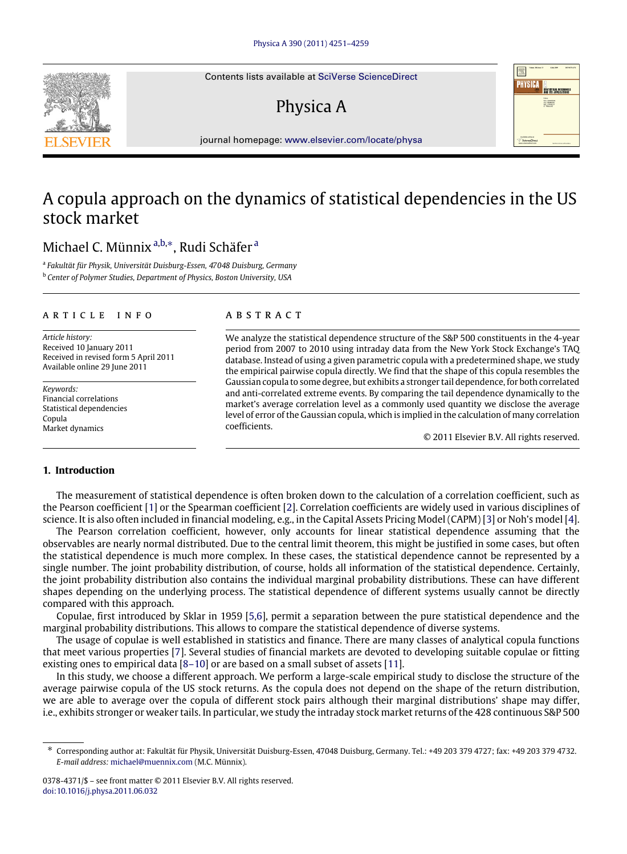Contents lists available at [SciVerse ScienceDirect](http://www.elsevier.com/locate/physa)

# Physica A



journal homepage: [www.elsevier.com/locate/physa](http://www.elsevier.com/locate/physa)

## A copula approach on the dynamics of statistical dependencies in the US stock market

### Mich[a](#page-0-0)el C. Münnix <sup>a[,b,](#page-0-1)[∗](#page-0-2)</sup>, Rudi Schäfer <sup>a</sup>

<span id="page-0-1"></span><span id="page-0-0"></span>a *Fakultät für Physik, Universität Duisburg-Essen, 47048 Duisburg, Germany* <sup>b</sup> *Center of Polymer Studies, Department of Physics, Boston University, USA*

#### A R T I C L E I N F O

*Article history:* Received 10 January 2011 Received in revised form 5 April 2011 Available online 29 June 2011

*Keywords:* Financial correlations Statistical dependencies Copula Market dynamics

#### a b s t r a c t

We analyze the statistical dependence structure of the S&P 500 constituents in the 4-year period from 2007 to 2010 using intraday data from the New York Stock Exchange's TAQ database. Instead of using a given parametric copula with a predetermined shape, we study the empirical pairwise copula directly. We find that the shape of this copula resembles the Gaussian copula to some degree, but exhibits a stronger tail dependence, for both correlated and anti-correlated extreme events. By comparing the tail dependence dynamically to the market's average correlation level as a commonly used quantity we disclose the average level of error of the Gaussian copula, which is implied in the calculation of many correlation coefficients.

© 2011 Elsevier B.V. All rights reserved.

#### **1. Introduction**

The measurement of statistical dependence is often broken down to the calculation of a correlation coefficient, such as the Pearson coefficient [\[1\]](#page--1-0) or the Spearman coefficient [\[2\]](#page--1-1). Correlation coefficients are widely used in various disciplines of science. It is also often included in financial modeling, e.g., in the Capital Assets Pricing Model (CAPM) [\[3\]](#page--1-2) or Noh's model [\[4\]](#page--1-3).

The Pearson correlation coefficient, however, only accounts for linear statistical dependence assuming that the observables are nearly normal distributed. Due to the central limit theorem, this might be justified in some cases, but often the statistical dependence is much more complex. In these cases, the statistical dependence cannot be represented by a single number. The joint probability distribution, of course, holds all information of the statistical dependence. Certainly, the joint probability distribution also contains the individual marginal probability distributions. These can have different shapes depending on the underlying process. The statistical dependence of different systems usually cannot be directly compared with this approach.

Copulae, first introduced by Sklar in 1959 [\[5](#page--1-4)[,6\]](#page--1-5), permit a separation between the pure statistical dependence and the marginal probability distributions. This allows to compare the statistical dependence of diverse systems.

The usage of copulae is well established in statistics and finance. There are many classes of analytical copula functions that meet various properties [\[7\]](#page--1-6). Several studies of financial markets are devoted to developing suitable copulae or fitting existing ones to empirical data [\[8–10\]](#page--1-7) or are based on a small subset of assets [\[11\]](#page--1-8).

In this study, we choose a different approach. We perform a large-scale empirical study to disclose the structure of the average pairwise copula of the US stock returns. As the copula does not depend on the shape of the return distribution, we are able to average over the copula of different stock pairs although their marginal distributions' shape may differ, i.e., exhibits stronger or weaker tails. In particular, we study the intraday stock market returns of the 428 continuous S&P 500



<span id="page-0-2"></span><sup>∗</sup> Corresponding author at: Fakultät für Physik, Universität Duisburg-Essen, 47048 Duisburg, Germany. Tel.: +49 203 379 4727; fax: +49 203 379 4732. *E-mail address:* [michael@muennix.com](mailto:michael@muennix.com) (M.C. Münnix).

<sup>0378-4371/\$ –</sup> see front matter © 2011 Elsevier B.V. All rights reserved. [doi:10.1016/j.physa.2011.06.032](http://dx.doi.org/10.1016/j.physa.2011.06.032)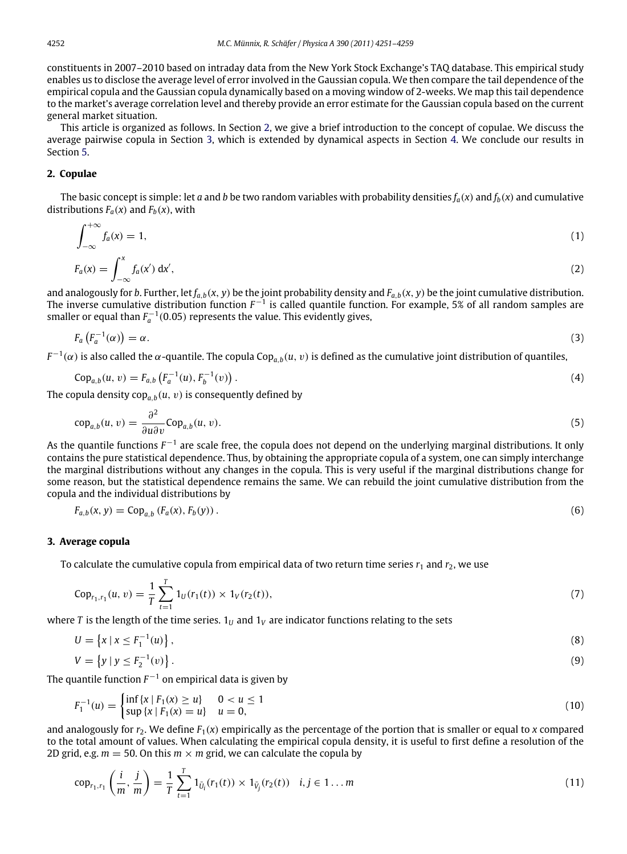constituents in 2007–2010 based on intraday data from the New York Stock Exchange's TAQ database. This empirical study enables us to disclose the average level of error involved in the Gaussian copula. We then compare the tail dependence of the empirical copula and the Gaussian copula dynamically based on a moving window of 2-weeks. We map this tail dependence to the market's average correlation level and thereby provide an error estimate for the Gaussian copula based on the current general market situation.

This article is organized as follows. In Section [2,](#page-1-0) we give a brief introduction to the concept of copulae. We discuss the average pairwise copula in Section [3,](#page-1-1) which is extended by dynamical aspects in Section [4.](#page--1-9) We conclude our results in Section [5.](#page--1-10)

#### <span id="page-1-0"></span>**2. Copulae**

The basic concept is simple: let *a* and *b* be two random variables with probability densities  $f_a(x)$  and  $f_b(x)$  and cumulative distributions  $F_a(x)$  and  $F_b(x)$ , with

$$
\int_{-\infty}^{+\infty} f_a(x) = 1,\tag{1}
$$

$$
F_a(x) = \int_{-\infty}^x f_a(x') \, \mathrm{d}x',\tag{2}
$$

and analogously for *b*. Further, let  $f_{a,b}(x, y)$  be the joint probability density and  $F_{a,b}(x, y)$  be the joint cumulative distribution. The inverse cumulative distribution function  $F^{-1}$  is called quantile function. For example, 5% of all random samples are smaller or equal than  $F_a^{-1}(0.05)$  represents the value. This evidently gives,

$$
F_a\left(F_a^{-1}(\alpha)\right) = \alpha. \tag{3}
$$

 $F^{-1}(\alpha)$  is also called the  $\alpha$ -quantile. The copula Cop<sub>a,b</sub>( $u,\,v$ ) is defined as the cumulative joint distribution of quantiles,

$$
Cop_{a,b}(u, v) = F_{a,b}\left(F_a^{-1}(u), F_b^{-1}(v)\right). \tag{4}
$$

The copula density cop $_{a,b}(u,\,v)$  is consequently defined by

$$
cop_{a,b}(u,v) = \frac{\partial^2}{\partial u \partial v} Cop_{a,b}(u,v).
$$
\n(5)

As the quantile functions *F*<sup>-1</sup> are scale free, the copula does not depend on the underlying marginal distributions. It only contains the pure statistical dependence. Thus, by obtaining the appropriate copula of a system, one can simply interchange the marginal distributions without any changes in the copula. This is very useful if the marginal distributions change for some reason, but the statistical dependence remains the same. We can rebuild the joint cumulative distribution from the copula and the individual distributions by

$$
F_{a,b}(x, y) = \text{Cop}_{a,b}(F_a(x), F_b(y)).
$$
\n(6)

#### <span id="page-1-1"></span>**3. Average copula**

To calculate the cumulative copula from empirical data of two return time series  $r_1$  and  $r_2$ , we use

$$
Cop_{r_1,r_1}(u,v) = \frac{1}{T} \sum_{t=1}^{T} 1_U(r_1(t)) \times 1_V(r_2(t)),
$$
\n(7)

where *T* is the length of the time series.  $1_U$  and  $1_V$  are indicator functions relating to the sets

$$
U = \left\{ x \mid x \le F_1^{-1}(u) \right\},\tag{8}
$$

$$
V = \{ y \mid y \le F_2^{-1}(v) \} . \tag{9}
$$

The quantile function  $F^{-1}$  on empirical data is given by

$$
F_1^{-1}(u) = \begin{cases} \inf\{x \mid F_1(x) \ge u\} & 0 < u \le 1 \\ \sup\{x \mid F_1(x) = u\} & u = 0, \end{cases}
$$
 (10)

and analogously for  $r_2$ . We define  $F_1(x)$  empirically as the percentage of the portion that is smaller or equal to *x* compared to the total amount of values. When calculating the empirical copula density, it is useful to first define a resolution of the 2D grid, e.g.  $m = 50$ . On this  $m \times m$  grid, we can calculate the copula by

$$
\text{cop}_{r_1, r_1} \left( \frac{i}{m}, \frac{j}{m} \right) = \frac{1}{T} \sum_{t=1}^T 1_{\bar{U}_i}(r_1(t)) \times 1_{\bar{V}_j}(r_2(t)) \quad i, j \in 1 \dots m
$$
\n(11)